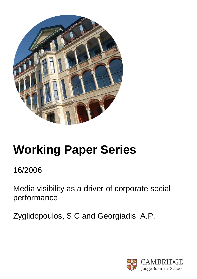

# **Working Paper Series**

16/2006

Media visibility as a driver of corporate social performance

Zyglidopoulos, S.C and Georgiadis, A.P.

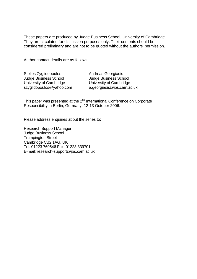These papers are produced by Judge Business School, University of Cambridge. They are circulated for discussion purposes only. Their contents should be considered preliminary and are not to be quoted without the authors' permission.

Author contact details are as follows:

| Stelios Zyglidopoulos        |
|------------------------------|
| <b>Judge Business School</b> |
| University of Cambridge      |
| szyglidopoulos@yahoo.com     |

Andreas Georgiadis Judge Business School University of Cambridge a.georgiadis@jbs.cam.ac.uk

This paper was presented at the 2<sup>nd</sup> International Conference on Corporate Responsibility in Berlin, Germany, 12-13 October 2006.

Please address enquiries about the series to:

Research Support Manager Judge Business School Trumpington Street Cambridge CB2 1AG, UK Tel: 01223 760546 Fax: 01223 339701 E-mail: research-support@jbs.cam.ac.uk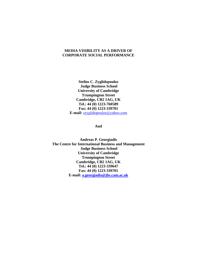# **MEDIA VISIBILITY AS A DRIVER OF CORPORATE SOCIAL PERFORMANCE**

**Stelios C. Zyglidopoulos Judge Business School University of Cambridge Trumpington Street Cambridge, CB2 1AG, UK Tel.: 44 (0) 1223-760589 Fax: 44 (0) 1223-339701 E-mail:** szyglidopoulos@yahoo.com

**And** 

**Andreas P. Georgiadis The Centre for International Business and Management Judge Business School University of Cambridge Trumpington Street Cambridge, CB2 1AG, UK Tel.: 44 (0) 1223-339647 Fax: 44 (0) 1223-339701 E-mail: a.georgiadis@jbs.cam.ac.uk**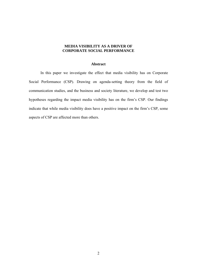# **MEDIA VISIBILITY AS A DRIVER OF CORPORATE SOCIAL PERFORMANCE**

# **Abstract**

In this paper we investigate the effect that media visibility has on Corporate Social Performance (CSP). Drawing on agenda-setting theory from the field of communication studies, and the business and society literature, we develop and test two hypotheses regarding the impact media visibility has on the firm's CSP. Our findings indicate that while media visibility does have a positive impact on the firm's CSP, some aspects of CSP are affected more than others.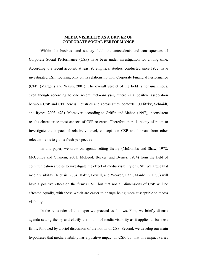# **MEDIA VISIBILITY AS A DRIVER OF CORPORATE SOCIAL PERFORMANCE**

 Within the business and society field, the antecedents and consequences of Corporate Social Performance (CSP) have been under investigation for a long time. According to a recent account, at least 95 empirical studies, conducted since 1972, have investigated CSP, focusing only on its relationship with Corporate Financial Performance (CFP) (Margolis and Walsh, 2001). The overall verdict of the field is not unanimous, even though according to one recent meta-analysis, "there is a positive association between CSP and CFP across industries and across study contexts" (Orlitzky, Schmidt, and Rynes, 2003: 423). Moreover, according to Griffin and Mahon (1997), inconsistent results characterize most aspects of CSP research. Therefore there is plenty of room to investigate the impact of relatively novel, concepts on CSP and borrow from other relevant fields to gain a fresh perspective.

In this paper, we draw on agenda-setting theory (McCombs and Shaw, 1972; McCombs and Ghanem, 2001; McLeod, Becker, and Byrnes, 1974) from the field of communication studies to investigate the effect of media visibility on CSP. We argue that media visibility (Kiousis, 2004; Baker, Powell, and Weaver, 1999; Manheim, 1986) will have a positive effect on the firm's CSP, but that not all dimensions of CSP will be affected equally, with those which are easier to change being more susceptible to media visibility.

 In the remainder of this paper we proceed as follows. First, we briefly discuss agenda setting theory and clarify the notion of media visibility as it applies to business firms, followed by a brief discussion of the notion of CSP. Second, we develop our main hypotheses that media visibility has a positive impact on CSP, but that this impact varies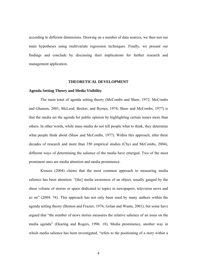according to different dimensions. Drawing on a number of data sources, we then test our main hypotheses using multivariate regression techniques. Finally, we present our findings and conclude by discussing their implications for further research and management application.

# **THEORETICAL DEVELOPMENT**

# **Agenda Setting Theory and Media Visibility**

 The main tenet of agenda setting theory (McCombs and Shaw, 1972; McCombs and Ghanem, 2001; McLeod, Becker, and Byrnes, 1974; Shaw and McCombs, 1977) is that the media set the agenda for public opinion by highlighting certain issues more than others. In other words, while mass media do not tell people what to think, they determine what people think about (Shaw and McCombs, 1977). Within this approach, after three decades of research and more than 350 empirical studies (Chyi and McCombs, 2004), different ways of determining the salience of the media have emerged. Two of the most prominent ones are media attention and media prominence.

 Kiousis (2004) claims that the most common approach to measuring media salience has been attention: "[the] media awareness of an object, usually gauged by the sheer volume of stories or space dedicated to topics in newspapers, television news and so on" (2004: 74). This approach has not only been used by many authors within the agenda setting theory (Benton and Frazier, 1976; Golan and Wanta, 2001), but some have argued that "the number of news stories measures the relative salience of an issue on the media agenda" (Dearing and Rogers, 1996: 18). Media prominence, another way in which media salience has been investigated, "refers to the positioning of a story within a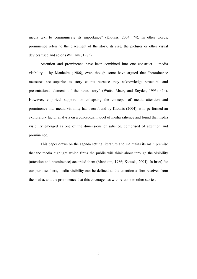media text to communicate its importance" (Kiousis, 2004: 74). In other words, prominence refers to the placement of the story, its size, the pictures or other visual devices used and so on (Williams, 1985).

Attention and prominence have been combined into one construct – media visibility – by Manheim (1986), even though some have argued that "prominence measures are superior to story counts because they acknowledge structural and presentational elements of the news story" (Watts, Mazz, and Snyder, 1993: 414). However, empirical support for collapsing the concepts of media attention and prominence into media visibility has been found by Kiousis (2004), who performed an exploratory factor analysis on a conceptual model of media salience and found that media visibility emerged as one of the dimensions of salience, comprised of attention and prominence.

This paper draws on the agenda setting literature and maintains its main premise that the media highlight which firms the public will think about through the visibility (attention and prominence) accorded them (Manheim, 1986; Kiousis, 2004). In brief, for our purposes here, media visibility can be defined as the attention a firm receives from the media, and the prominence that this coverage has with relation to other stories.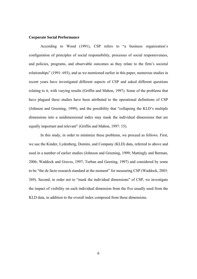#### **Corporate Social Performance**

According to Wood (1991), CSP refers to "a business organization's configuration of principles of social responsibility, processes of social responsiveness, and policies, programs, and observable outcomes as they relate to the firm's societal relationships" (1991: 693), and as we mentioned earlier in this paper, numerous studies in recent years have investigated different aspects of CSP and asked different questions relating to it, with varying results (Griffin and Mahon, 1997). Some of the problems that have plagued these studies have been attributed to the operational definitions of CSP (Johnson and Greening, 1999), and the possibility that "collapsing the KLD's multiple dimensions into a unidimensional index may mask the individual dimensions that are equally important and relevant" (Griffin and Mahon, 1997: 15).

In this study, in order to minimize these problems, we proceed as follows. First, we use the Kinder, Lydenberg, Domini, and Company (KLD) data, referred to above and used in a number of earlier studies (Johnson and Greening, 1999; Mattingly and Berman, 2006; Waddock and Graves, 1997; Turban and Geening, 1997) and considered by some to be "the de facto research standard at the moment" for measuring CSP (Waddock, 2003: 369). Second, in order not to "mask the individual dimensions" of CSP, we investigate the impact of visibility on each individual dimension from the five usually used from the KLD data, in addition to the overall index composed from these dimensions.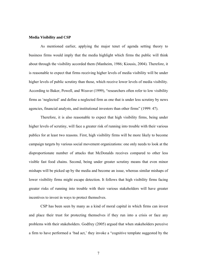#### **Media Visibility and CSP**

 As mentioned earlier, applying the major tenet of agenda setting theory to business firms would imply that the media highlight which firms the public will think about through the visibility accorded them (Manheim, 1986; Kiousis, 2004). Therefore, it is reasonable to expect that firms receiving higher levels of media visibility will be under higher levels of public scrutiny than those, which receive lower levels of media visibility. According to Baker, Powell, and Weaver (1999), "researchers often refer to low visibility firms as 'neglected' and define a neglected firm as one that is under less scrutiny by news agencies, financial analysts, and institutional investors than other firms" (1999: 47).

 Therefore, it is also reasonable to expect that high visibility firms, being under higher levels of scrutiny, will face a greater risk of running into trouble with their various publics for at least two reasons. First, high visibility firms will be more likely to become campaign targets by various social movement organizations: one only needs to look at the disproportionate number of attacks that McDonalds receives compared to other less visible fast food chains. Second, being under greater scrutiny means that even minor mishaps will be picked up by the media and become an issue, whereas similar mishaps of lower visibility firms might escape detection. It follows that high visibility firms facing greater risks of running into trouble with their various stakeholders will have greater incentives to invest in ways to protect themselves.

CSP has been seen by many as a kind of moral capital in which firms can invest and place their trust for protecting themselves if they run into a crisis or face any problems with their stakeholders. Godfrey (2005) argued that when stakeholders perceive a firm to have performed a 'bad act,' they invoke a "cognitive template suggested by the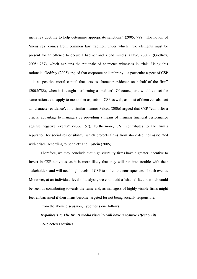mens rea doctrine to help determine appropriate sanctions" (2005: 788). The notion of 'mens rea' comes from common law tradition under which "two elements must be present for an offence to occur: a bad act and a bad mind (LaFave, 2000)" (Godfrey, 2005: 787), which explains the rationale of character witnesses in trials. Using this rationale, Godfrey (2005) argued that corporate philanthropy – a particular aspect of CSP – is a "positive moral capital that acts as character evidence on behalf of the firm" (2005:788), when it is caught performing a 'bad act'. Of course, one would expect the same rationale to apply to most other aspects of CSP as well, as most of them can also act as 'character evidence'. In a similar manner Peloza (2006) argued that CSP "can offer a crucial advantage to managers by providing a means of insuring financial performance against negative events" (2006: 52). Furthermore, CSP contributes to the firm's reputation for social responsibility, which protects firms from stock declines associated with crises, according to Schnietz and Epstein (2005).

Therefore, we may conclude that high visibility firms have a greater incentive to invest in CSP activities, as it is more likely that they will run into trouble with their stakeholders and will need high levels of CSP to soften the consequences of such events. Moreover, at an individual level of analysis, we could add a 'shame' factor, which could be seen as contributing towards the same end, as managers of highly visible firms might feel embarrassed if their firms become targeted for not being socially responsible.

From the above discussion, hypothesis one follows.

*Hypothesis 1: The firm's media visibility will have a positive effect on its CSP, ceteris paribus.*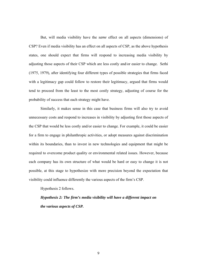But, will media visibility have the *same* effect on all aspects (dimensions) of CSP? Even if media visibility has an effect on all aspects of CSP, as the above hypothesis states, one should expect that firms will respond to increasing media visibility by adjusting those aspects of their CSP which are less costly and/or easier to change. Sethi (1975, 1979), after identifying four different types of possible strategies that firms faced with a legitimacy gap could follow to restore their legitimacy, argued that firms would tend to proceed from the least to the most costly strategy, adjusting of course for the probability of success that each strategy might have.

Similarly, it makes sense in this case that business firms will also try to avoid unnecessary costs and respond to increases in visibility by adjusting first those aspects of the CSP that would be less costly and/or easier to change. For example, it could be easier for a firm to engage in philanthropic activities, or adopt measures against discrimination within its boundaries, than to invest in new technologies and equipment that might be required to overcome product quality or environmental related issues. However, because each company has its own structure of what would be hard or easy to change it is not possible, at this stage to hypothesize with more precision beyond the expectation that visibility could influence differently the various aspects of the firm's CSP.

Hypothesis 2 follows.

*Hypothesis 2: The firm's media visibility will have a different impact on the various aspects of CSP.*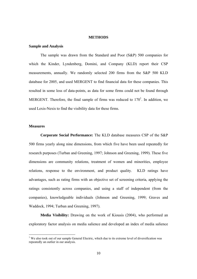#### **METHODS**

# **Sample and Analysis**

The sample was drawn from the Standard and Poor (S&P) 500 companies for which the Kinder, Lyndenberg, Domini, and Company (KLD) report their CSP measurements, annually. We randomly selected 200 firms from the S&P 500 KLD database for 2005, and used MERGENT to find financial data for these companies. This resulted in some loss of data-points, as data for some firms could not be found through MERGENT. Therefore, the final sample of firms was reduced to  $170<sup>1</sup>$ . In addition, we used Lexis-Nexis to find the visibility data for these firms.

# **Measures**

-

**Corporate Social Performance:** The KLD database measures CSP of the S&P 500 firms yearly along nine dimensions, from which five have been used repeatedly for research purposes (Turban and Greening, 1997; Johnson and Greening, 1999). These five dimensions are community relations, treatment of women and minorities, employee relations, response to the environment, and product quality. KLD ratings have advantages, such as rating firms with an objective set of screening criteria, applying the ratings consistently across companies, and using a staff of independent (from the companies), knowledgeable individuals (Johnson and Greening, 1999; Graves and Waddock, 1994; Turban and Greening, 1997).

**Media Visibility:** Drawing on the work of Kiousis (2004), who performed an exploratory factor analysis on media salience and developed an index of media salience

<sup>&</sup>lt;sup>1</sup> We also took out of our sample General Electric, which due to its extreme level of diversification was repeatedly an outlier in our analysis.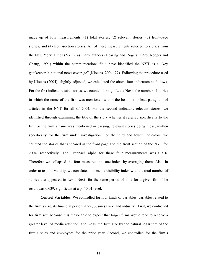made up of four measurements, (1) total stories, (2) relevant stories, (3) front-page stories, and (4) front-section stories. All of these measurements referred to stories from the New York Times (NYT), as many authors (Dearing and Rogers, 1996; Rogers and Chang, 1991) within the communications field have identified the NYT as a "key gatekeeper in national news coverage" (Kiousis, 2004: 77). Following the procedure used by Kiousis (2004), slightly adjusted, we calculated the above four indicators as follows. For the first indicator, total stories, we counted through Lexis-Nexis the number of stories in which the name of the firm was mentioned within the headline or lead paragraph of articles in the NYT for all of 2004. For the second indicator, relevant stories, we identified through examining the title of the story whether it referred specifically to the firm or the firm's name was mentioned in passing, relevant stories being those, written specifically for the firm under investigation. For the third and fourth indicators, we counted the stories that appeared in the front page and the front section of the NYT for 2004, respectively. The Cronbach alpha for these four measurements was 0.716. Therefore we collapsed the four measures into one index, by averaging them. Also, in order to test for validity, we correlated our media visibility index with the total number of stories that appeared in Lexis-Nexis for the same period of time for a given firm. The result was 0.639, significant at a  $p < 0.01$  level.

**Control Variables:** We controlled for four kinds of variables, variables related to the firm's size, its financial performance, business risk, and industry. First, we controlled for firm size because it is reasonable to expect that larger firms would tend to receive a greater level of media attention, and measured firm size by the natural logarithm of the firm's sales and employees for the prior year. Second, we controlled for the firm's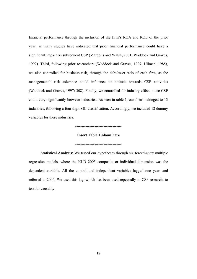financial performance through the inclusion of the firm's ROA and ROE of the prior year, as many studies have indicated that prior financial performance could have a significant impact on subsequent CSP (Margolis and Walsh, 2001; Waddock and Graves, 1997). Third, following prior researchers (Waddock and Graves, 1997; Ullman, 1985), we also controlled for business risk, through the debt/asset ratio of each firm, as the management's risk tolerance could influence its attitude towards CSP activities (Waddock and Graves, 1997: 308). Finally, we controlled for industry effect, since CSP could vary significantly between industries. As seen in table 1, our firms belonged to 13 industries, following a four digit SIC classification. Accordingly, we included 12 dummy variables for these industries.

#### **------------------------------------**

# **Insert Table 1 About here**

**------------------------------------**

**Statistical Analysis:** We tested our hypotheses through six forced-entry multiple regression models, where the KLD 2005 composite or individual dimension was the dependent variable. All the control and independent variables lagged one year, and referred to 2004. We used this lag, which has been used repeatedly in CSP research, to test for causality.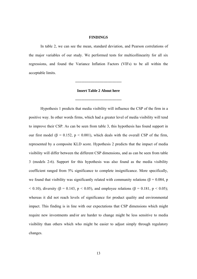#### **FINDINGS**

In table 2, we can see the mean, standard deviation, and Pearson correlations of the major variables of our study. We performed tests for multicollinearity for all six regressions, and found the Variance Inflation Factors (VIFs) to be all within the acceptable limits.

# **------------------------------------**

# **Insert Table 2 About here**

**------------------------------------** 

Hypothesis 1 predicts that media visibility will influence the CSP of the firm in a positive way. In other words firms, which had a greater level of media visibility will tend to improve their CSP. As can be seen from table 3, this hypothesis has found support in our first model (β = 0.152, p < 0.001), which deals with the overall CSP of the firm, represented by a composite KLD score. Hypothesis 2 predicts that the impact of media visibility will differ between the different CSP dimensions, and as can be seen from table 3 (models 2-6). Support for this hypothesis was also found as the media visibility coefficient ranged from 5% significance to complete insignificance. More specifically, we found that visibility was significantly related with community relations ( $\beta$  = 0.084, p < 0.10), diversity (β = 0.143, p < 0.05), and employee relations (β = 0.181, p < 0.05); whereas it did not reach levels of significance for product quality and environmental impact. This finding is in line with our expectations that CSP dimensions which might require new investments and/or are harder to change might be less sensitive to media visibility than others which who might be easier to adjust simply through regulatory changes.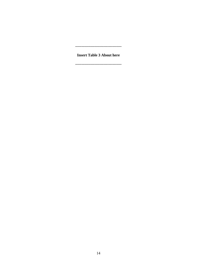#### ------------------------------------

**Insert Table 3 About here** 

-----------------------------------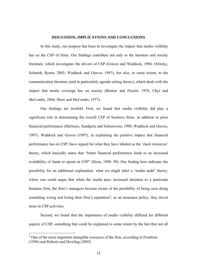### **DISCUSSION, IMPLICATIONS AND CONCLUSIONS**

 In this study, our purpose has been to investigate the impact that media visibility has on the CSP of firms. Our findings contribute not only to the business and society literature, which investigates the drivers of CSP (Graves and Waddock, 1994; Orlitzky, Schmidt, Rynes, 2003; Waddock and Graves, 1997), but also, to some extent, to the communication literature (and in particularly agenda setting theory), which deals with the impact that media coverage has on society (Benton and Frazier, 1976; Chyi and McCombs, 2004; Shaw and McCombs, 1977).

Our findings are twofold. First, we found that media visibility did play a significant role in determining the overall CSP of business firms, in addition to prior financial performance (McGuire, Sundgren and Schneeweis, 1990; Waddock and Graves, 1997). Waddock and Graves (1997), in explaining the positive impact that financial performance has on CSP, have argued for what they have labeled as the 'slack resources' theory, which basically states that "better financial performance leads to an increased availability of funds to spend on CSP" (Dean, 1998: 99). Our finding here indicates the possibility for an additional explanation, what we might label a 'media audit' theory, where one could argue that when the media pays increased attention to a particular business firm, the firm's managers become aware of the possibility of being seen doing something wrong and losing their firm's reputation<sup>2</sup>; as an insurance policy, they invest more in CSP activities.

 Second, we found that the importance of media visibility differed for different aspects of CSP, something that could be explained to some extent by the fact that not all

-

 $2^2$  One of the most important intangible resources of the firm, according to Fombrun (1996) and Roberts and Dowling (2002)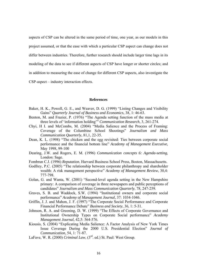aspects of CSP can be altered in the same period of time, one year, as our models in this project assumed, or that the ease with which a particular CSP aspect can change does not differ between industries. Therefore, further research should include larger time lags in its modeling of the data to see if different aspects of CSP have longer or shorter circles; and in addition to measuring the ease of change for different CSP aspects, also investigate the CSP-aspect – industry interaction effects.

# **References**

- Baker, H. K., Powell, G. E., and Weaver, D. G. (1999) "Listing Changes and Visibility Gains" *Quarterly Journal of Business and Economics*, 38, 1: 46-63.
- Benton, M. and Frazier, P. (1976) "The Agenda setting function of the mass media at three levels of 'information holding'" *Communication Research*, 3, 261-274.
- Chyi, H I. and McCombs, M. (2004) "Media Salience and the Process of Framing: Coverage of the Columbine School Shootings" *Journalism and Mass Communication Quarterly*, 81,1, 22-35.
- Dean, K. L. (1998) "The chicken and the egg revisited: Ties between corporate social performance and the financial bottom line" *Academy of Management Executive*, May 1998, 99-100
- Dearing, J.W. and Rogers, E. M. (1996) *Communication concepts 6: Agenda-setting*, London: Sage.
- Fombrun C.J. (1996) *Reputation.* Harvard Business School Press, Boston, Massachusetts.
- Godfrey, P.C. (2005) "The relationship between corporate philanthropy and shareholder wealth: A risk management perspective" *Academy of Management Review*, 30,4: 777-798.
- Golan, G. and Wanta, W. (2001) "Second-level agenda setting in the New Hampshire primary: A comparison of coverage in three newspapers and public perceptions of candidates" *Journalism and Mass Communication Quarterly*, 78, 247-259.
- Graves, S. B. and Waddock, S.W. (1994) "Institutional owners and corporate social performance" *Academy of Management Journal*, 37: 1034-1046.
- Griffin, J. J. and Mahon, J. F. (1997) "The Corporate Social Performance and Corporate Financial Performance Debate" *Business and Society*, 36, 1: 5-31.
- Johnson, R. A. and Greening, D. W. (1999) "The Effects of Corporate Governance and Institutional Ownership Types on Corporate Social performance" *Academy Management Journal*, 42,5: 564-576.
- Kiousis, S. (2004) "Explicating Media Salience: A Factor Analysis of New York Times Issue Coverage During the 2000 U.S. Presidential Election" *Journal of Communication*, 54, 1: 71-87.
- LaFave, W. R. (2000) *Criminal Law*, (3<sup>rd</sup>. ed.) St. Paul: West Group.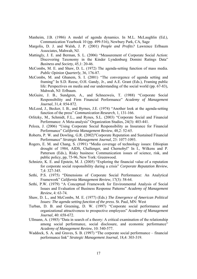- Manheim, J.B. (1986) A model of agenda dynamics. In M.L. McLaughlin (Ed.), Communication Yearbook 10 (pp. 499-516), Newbury Park, CA, Sage
- Margolis, D. J. and Walsh, J. P. (2001) *People and Profits?* Lawrence Erlbaum Associates, Mahwah, NJ.
- Mattingly, J. E. and Berman, S. L. (2006) "Measurement of Corporate Social Action: Discovering Taxonomy in the Kinder Lyndenburg Domini Ratings Data" *Business and Society*, 45,1: 20-46.
- McCombs, M. E. and Shaw, D. L. (1972) The agenda-setting function of mass media. *Public Opinion Quarterly*, 36, 176-87.
- McCombs, M. and Ghanem, S. I. (2001) "The convergence of agenda setting and framing" In S.D. Reese, O.H. Gandy, Jr., and A.E. Grant (Eds.), Framing public life: Perspectives on media and our understanding of the social world (pp. 67-83), Mahwah, NJ: Erlbaum.
- McGuire, J. B., Sundgren, A., and Schneeweis, T. (1988) "Corporate Social Responsibility and Firm Financial Performance" *Academy of Management Journal*, 31,4: 854-872.
- McLeod, J., Becker, I. B., and Byrnes, J.E. (1974) "Another look at the agenda-setting function of the press" *Communication Research*, 1, 131-166.
- Orlitzky, M., Schmidt, F.L., and Rynes, S.L. (2003) "Corporate Social and Financial Performance: A Meta-analysis" Organization Studies, 24(3): 403-441.
- Peloza, J. (2006) "Using Corporate Social Responsibility as Insurance for Financial Performance" *California Management Review*, 48,2: 52-65.
- Roberts, P. W. and Dowling, G.R. (2002)"Corporate Reputation and Sustained Financial Performance" *Strategic Management Journal*, 23: 1077-1093.
- Rogers, E. M. and Chang, S. (1991) "Media coverage of technology issues: Ethiopian drought of 1984, AIDS, Challenger, and Chernobyl" In I., Wilkens and P. Patterson (Eds.), Risky business: Communication issues of science, risk, and public policy, pp, 75-96, New York: Greenwood.
- Schnietz, K. E. and Epstein, M. J. (2005) "Exploring the financial value of a reputation for corporate social responsibility during a crisis" *Corporate Reputation Review*, 7,4: 327-345.
- Sethi, P.S. (1975) "Dimensions of Corporate Social Performance: An Analytical Framework" *California Management Review*, 17(3): 58-64.
- Sethi, P.W. (1979) "A Conceptual Framework for Environmental Analysis of Social Issues and Evaluation of Business Response Patterns" *Academy of Management Review*, 4: 63-74.
- Shaw, D. L., and McCombs, M. E. (1977) (Eds.) *The Emergence of American Political Issues: The agenda setting function of the press*. St. Paul, MN: West
- Turban, D. B. and Greening, D. W. (1997) "Corporate social performance and organizational attractiveness to prospective employees" *Academy of Management Journal*, 40: 658-672.
- Ullmann, A. (1985) "Data in search of a theory: A critical examination of the relationship among social performance, social disclosure, and economic performance" *Academy of Management Review*, 10: 540-577.
- Waddock, S. A. and Graves, S. B. (1997) "The corporate social performance financial performance link" *Strategic Management Journal*, 18,4: 303-319.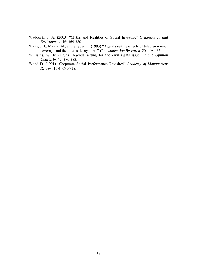Waddock, S. A. (2003) "Myths and Realities of Social Investing" *Organization and Environment*, 16: 369-380.

- Watts, J.H., Mazza, M., and Snyder, L. (1993) "Agenda setting effects of television news coverage and the effects decay curve" *Communication Research*, 20, 408-435.
- Williams, W. Jr. (1985) "Agenda setting for the civil rights issue" *Public Opinion Quarterly*, 45, 376-383.
- Wood D. (1991) "Corporate Social Performance Revisited" *Academy of Management Review*, 16,4: 691-718.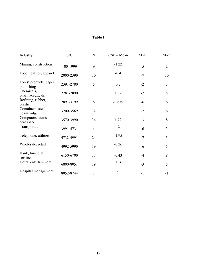| Industry                                                                                                             | <b>SIC</b> | $\mathbf N$    | $CSP - Mean$ | Min. | Max.           |
|----------------------------------------------------------------------------------------------------------------------|------------|----------------|--------------|------|----------------|
| Mining, construction                                                                                                 | 100-1999   | 9              | $-1.22$      | $-5$ | $\overline{2}$ |
| Food, textiles, apparel                                                                                              | 2000-2390  | 10             | $-0.4$       | $-7$ | 10             |
| Forest products, paper,<br>publishing                                                                                | 2391-2780  | 5              | 0.2          | $-2$ | 3              |
| Chemicals,<br>pharmaceuticals                                                                                        | 2781-2890  | 17             | 1.82         | $-2$ | 8              |
| Refining, rubber,<br>plastic<br>Containers, steel,<br>heavy mfg.<br>Computers, autos,<br>aerospace<br>Transportation | 2891-3199  | 8              | $-0.875$     | $-6$ | 6              |
|                                                                                                                      | 3200-3569  | 12             | $\mathbf{1}$ | $-2$ | 6              |
|                                                                                                                      | 3570-3990  | 34             | 1.72         | $-3$ | 8              |
|                                                                                                                      | 3991-4731  | $\overline{4}$ | $-2$         | $-6$ | $\overline{3}$ |
| Telephone, utilities                                                                                                 | 4732-4991  | 24             | $-1.95$      | $-7$ | 3              |
| Wholesale, retail                                                                                                    | 4992-5990  | 19             | $-0.26$      | $-6$ | 5              |
| Bank, financial<br>services<br>Hotel, entertainment                                                                  | 6150-6700  | 17             | $-0.43$      | $-4$ | 8              |
|                                                                                                                      | 6800-8051  | 19             | 0.94         | $-3$ | 5              |
| Hospital management                                                                                                  | 8052-8744  | $\mathbf{1}$   | $-1$         | $-1$ | $-1$           |

| Table 1 |  |
|---------|--|
|---------|--|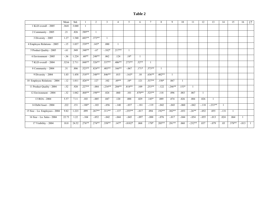#### **Table 2**

|                                              | Mean   | Std.  |          | 2        | $\overline{3}$ | $\overline{4}$ | 5          | -6       | $\tau$   | 8              | 9         | 10      | 11           | 12       | 13        | 14           | 15       | 16      | 17 |
|----------------------------------------------|--------|-------|----------|----------|----------------|----------------|------------|----------|----------|----------------|-----------|---------|--------------|----------|-----------|--------------|----------|---------|----|
| $1$ KLD overall $-2005$                      | .3641  | 3.040 |          |          |                |                |            |          |          |                |           |         |              |          |           |              |          |         |    |
| 2 Community $-2005$                          | .21    | .826  | .589**   |          |                |                |            |          |          |                |           |         |              |          |           |              |          |         |    |
| 3 Diversity $-2005$                          | 1.27   | 1.540 | $.603**$ | $.373**$ |                |                |            |          |          |                |           |         |              |          |           |              |          |         |    |
| 4 Employee Relations - 2005                  | $-15$  | 1.037 | $.539**$ | $.145*$  | .080           |                |            |          |          |                |           |         |              |          |           |              |          |         |    |
| 5 Product Quality - 2005                     | $-61$  | .949  | $.348**$ | $-.67$   | $-182*$        | $.217**$       |            |          |          |                |           |         |              |          |           |              |          |         |    |
| $6$ Environment $-2005$                      | $-36$  | 1.224 | $.60**$  | $.248**$ | .062           | .124           | $.18*$     |          |          |                |           |         |              |          |           |              |          |         |    |
| 7 KLD overall - 2004                         | .3216  | 2.711 | $.848**$ | $.526**$ | $.537**$       | $.406**$       | $.273**$   | $.52**$  |          |                |           |         |              |          |           |              |          |         |    |
| 8 Community - 2004                           | .31    | .806  | $.523**$ | $.824**$ | $.403**$       | $.166***$      | $-.067$    | $.171*$  | $.573**$ | $\overline{1}$ |           |         |              |          |           |              |          |         |    |
| 9 Diversity - 2004                           | 1.03   | 1.458 | $.518**$ | .348**   | $.846**$       | .015           | $-163*$    | .10      | $.636**$ | $.402**$       |           |         |              |          |           |              |          |         |    |
| 10 Employee Relations - 2004                 | $-.12$ | 1.011 | $.426**$ | .127     | .102           | $.69**$        | $.18*$     | .121     | $.537**$ | $.150*$        | .067      | 1       |              |          |           |              |          |         |    |
| 11 Product Quality - 2004                    | $-.52$ | .920  | $.227**$ | $-.084$  | $-.234**$      | $.204**$       | $.818**$   | .109     | $.253**$ | $-.122$        | $-.246**$ | $.153*$ | $\mathbf{1}$ |          |           |              |          |         |    |
| 12 Environment - 2004                        | $-32$  | 1.042 | .468**   | .198**   | .024           | .060           | .101       | $.870**$ | $.525**$ | .118           | .096      | .083    | .067         |          |           |              |          |         |    |
| 13 ROA - 2004                                | 5.57   | 7.11  | .103     | $-.005$  | .047           | .120           | .088       | .029     | $.145*$  | .089           | .074      | .026    | .084         | .026     |           |              |          |         |    |
| 14 Debt/Asset - 2004                         | .222   | .151  | $-.188*$ | $-.103$  | $-.056$        | $-.140$        | $-.037$    | $-.181$  | $-.119$  | $-.042$        | $-.043$   | $-.060$ | $-.042$      | $-.118$  | $-.233**$ | $\mathbf{1}$ |          |         |    |
| 15 Size - Ln. Employees - 2004               | 9.82   | 1.223 | .099     | $.267**$ | $.311**$       | $-.137$        | $-.255**$  | $-.017$  | .094     | $.192**$       | $.302**$  | $-.053$ | $-.26**$     | $-.052$  | .055      | $-.131$      |          |         |    |
| $16 \text{ Size} - \text{Ln}$ . Sales - 2004 | 22.73  | 1.22  | $-.104$  | $-.052$  | $-.042$        | $-.044$        | $-.045$    | $-.097$  | $-.088$  | $-.076$        | $-0.017$  | $-.044$ | $-.054$      | $-0.055$ | $-.013$   | .024         | .064     |         |    |
| 17 Visibility - 2004                         | 10.8   | 24.52 | $.276**$ | $.274**$ | .358**         | $.147*$        | $-0.0182*$ | .068     | $.170*$  | $.205**$       | $.281**$  | .060    | $-.232**$    | .037     | $-.079$   | .03          | $.378**$ | $-.013$ |    |